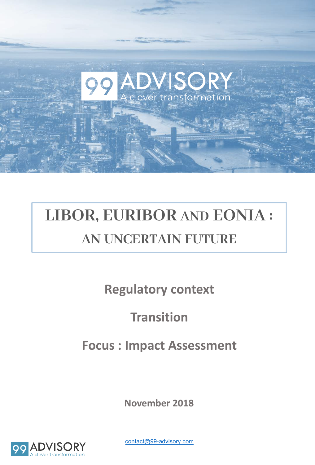# **LIBOR, EURIBOR AND EONIA :**

## **AN UNCERTAIN FUTURE**

**ADVISORY**<br>Clever transformation

**Regulatory context**

## **Transition**

## **Focus : Impact Assessment**

**November 2018**



contact@99-advisory.com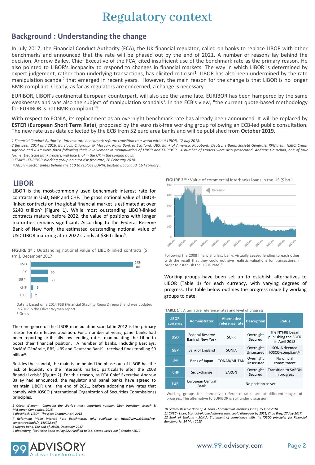## **Regulatory context**

#### **Background : Understanding the change**

decision. Andrew Bailey, Chief Executive of the FCA, cited insufficient use of the benchmark rate as the primary reason. He<br>also nointed to UBOB's incanacity to respond to changes in financial markets. The way in which UBO In July 2017, the Financial Conduct Authority (FCA), the UK financial regulator, called on banks to replace LIBOR with other benchmarks and announced that the rate will be phased out by the end of 2021. A number of reasons lay behind the also pointed to LIBOR's incapacity to respond to changes in financial markets. The way in which LIBOR is determined by expert judgement, rather than underlying transactions, has elicited criticism<sup>1</sup>. LIBOR has also been undermined by the rate manipulation scandal<sup>2</sup> that emerged in recent years. However, the main reason for the change is that LIBOR is no longer BMR-compliant. Clearly, as far as regulators are concerned, a change is necessary.

EURIBOR, LIBOR's continental European counterpart, will also see the same fate. EURIBOR has been hampered by the same weaknesses and was also the subject of manipulation scandals<sup>3</sup>. In the ECB's view, "the current quote-based methodology for EURIBOR is not BMR-compliant"4*.*

With respect to EONIA, its replacement as an overnight benchmark rate has already been announced. It will be replaced by **ESTER** (**European Short Term Rate**), proposed by the euro risk-free working group following an ECB-led public consultation. The new rate uses data collected by the ECB from 52 euro area banks and will be published from **October 2019**.

1 Financial Conduct Authority - Interest rate benchmark reform: transition to a world without LIBOR, 12 July 2018.

2 Between 2014 and 2016, Barclays, Citigroup, JP Morgan, Royal Bank of Scotland, UBS, Bank of America, Rabobank, Deutsche Bank, Société Générale, RPMartin, HSBC, Credit Agricole and ICAP were fined following their involvement in manipulation of LIBOR and EURIBOR. A number of traders were also prosecuted. Andreas Hauschild, one of four *former Deutsche Bank traders, will face trial in the UK in the coming days.*

*3 EMMI - EURIBOR Working group on euro risk free rate, 26 February 2018.*

*4 AGEFI - Sector unites behind the ECB to replace EONIA, Bastien Bouchaud, 16 February 2018.*

#### **LIBOR**

LIBOR is the most-commonly used benchmark interest rate for contracts in USD, GBP and CHF. The gross notional value of LIBORlinked contracts on the global financial market is estimated at over \$240 trillion<sup>5</sup> (Figure 1). While most outstanding LIBOR-linked contracts mature before 2022, the value of positions with longer maturities remains significant. According to the Federal Reserve Bank of New York, the estimated outstanding notional value of USD LIBOR maturing after 2022 stands at \$36 trillion<sup>6</sup>.

**FIGURE 15** : Outstanding notional value of LIBOR-linked contracts (\$ trn.), December 2017



Data is based on a 2014 FSB (Financial Stability Report) report<sup>7</sup> and was updated in 2017 in the Oliver Wyman report. \* Gross

The emergence of the LIBOR manipulation scandal in 2012 is the primary reason for its effective abolition. For a number of years, panel banks had been reporting artificially low lending rates, manipulating the Libor to boost their financial position. A number of banks, including Barclays, Société Générale, RBS, UBS and Deutsche Bank<sup>5</sup>, received fines totalling \$9 billion8.

Besides the scandal, the main issue behind the phase-out of LIBOR has the lack of liquidity on the interbank market, particularly after the 2008 financial crisis<sup>9</sup> (Figure 2). For this reason, as FCA Chief Executive Andrew Bailey had announced, the regulator and panel banks have agreed to maintain LIBOR until the end of 2021, before adopting new rates that comply with IOSCO (International Organization of Securities Commissions) principles.

*5 Oliver Wyman - Changing the World's most important number, Libor transition, Marsh & McLennan Companies, 2018*

*6 BlackRock, LIBOR: The Next Chapter, April 2018*

*7 Reforming Major Interest Rate Benchmarks, July; available at: http://www.fsb.org/wpcontent/uploads/r\_140722.pdf. 8 Migros Bank, The end of LIBOR, December 2017*

*9 Bloomberg, "Deutsche Bank to Pay \$220 Million to U.S. States Over Libor", October 2017*

**FIGURE 2**<sup>10</sup> : Value of commercial interbanks loans in the US (\$ bn.)



Following the 2008 financial crisis, banks virtually ceased lending to each other, with the result that they could not give realistic valuations for transactions in order to establish the LIBOR rate<sup>11</sup>

Working groups have been set up to establish alternatives to LIBOR (Table 1) for each currency, with varying degrees of progress. The table below outlines the progress made by working groups to date.

| LIBOR-<br>currency | <b>Administrator</b>                       | <b>Alternative</b><br>reference rate | <b>Description</b>     | <b>Status</b>                                           |
|--------------------|--------------------------------------------|--------------------------------------|------------------------|---------------------------------------------------------|
| <b>USD</b>         | <b>Federal Reserve</b><br>Bank of New York | <b>SOFR</b>                          | Overnight<br>Secured   | The NYFRB began<br>publishing the SOFR<br>in April 2018 |
| <b>GBP</b>         | <b>Bank of England</b>                     | SONIA                                | Overnight<br>Unsecured | SONIA deemed<br>IOSCO-compliant <sup>12</sup>           |
| <b>JPY</b>         | Bank of Japan                              | TONAR/MUTAN                          | Overnight<br>Unsecured | No official<br>commitment                               |
| <b>CHF</b>         | Six Exchange                               | SARON                                | Overnight<br>Secured   | <b>Transition to SARON</b><br>in progress               |
| <b>EUR</b>         | European Central<br>Bank                   |                                      | No position as yet     |                                                         |

**TABLE 1**<sup>5</sup> : Alternative reference rates and level of progress

Working groups for alternative reference rates are at different stages of progress. The alternative to EURIBOR is still under discussion.

 *Federal Reserve Bank of St. Louis - Commercial interbank loans, 25 June 2018 CNBC - Libor, Scandal-plagued interest rate, could disappear by 2021, Chad Bray, 27 July 2017 Bank of England - SONIA, Statement of compliance with the IOSCO principles for Financial Benchmarks, 14 May 2018*

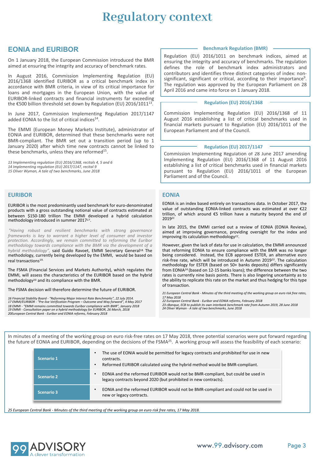## **Regulatory context**

#### **EONIA and EURIBOR**

On 1 January 2018, the European Commission introduced the BMR aimed at ensuring the integrity and accuracy of benchmark rates.

In August 2016, Commission Implementing Regulation (EU) 2016/1368 identified EURIBOR as a critical benchmark index in accordance with BMR criteria, in view of its critical importance for loans and mortgages in the European Union, with the value of EURIBOR-linked contracts and financial instruments far exceeding the €500 billion threshold set down by Regulation (EU) 2016/1011<sup>13</sup>.

In June 2017, Commission Implementing Regulation 2017/1147 added EONIA to the list of critical indices<sup>14</sup>.

The EMMI (European Money Markets Institute), administrator of EONIA and EURIBOR, determined that these benchmarks were not BMR-compliant. The BMR set out a transition period (up to 1 January 2020) after which time new contracts cannot be linked to these benchmarks, unless they are reformed<sup>15</sup>.

13 Implementing regulation (EU) 2016/1368, recitals 4, 5 and 6<br>14 Implementing regulation (EU) 2017/1147, recital 9 *15 Oliver Wyman, A tale of two benchmarks, June 2018*

#### **EURIBOR**

EURIBOR is the most predominantly used benchmark for euro-denominated products with a gross outstanding notional value of contracts estimated at between \$150-180 trillion The EMMI developed a hybrid calculation methodology introduced in summer 2017*17*.

*"Having robust and resilient benchmarks with strong governance frameworks is key to warrant a higher level of consumer and investor protection. Accordingly, we remain committed to reforming the Euribor methodology towards compliance with the BMR via the development of a hybrid methodology",* said Guido Ravoet, EMMI Secretary General18. The methodology, currently being developed by the EMMI, would be based on real transactions19.

The FSMA (Financial Services and Markets Authority), which regulates the EMMI, will assess the characteristics of the EURIBOR based on the hybrid methodology20 and its compliance with the BMR.

The FSMA decision will therefore determine the future of EURIBOR.

16 Financial Stability Board - "Reforming Major Interest Rate Benchmarks", 22 July 2014.<br>17 EMM/EURIBOR - "Pre-live Verification Program – Outcome and Way forward", 4 May 2017<br>18 EMMI - "EMMI remains committed towards Euri *19 EMMI - Consultation paper on a hybrid methodology for EURIBOR, 26 March, 2018 20European Central Bank - Euribor and EONIA reforms, February 2018*

#### **Benchmark Regulation (BMR)**

Regulation (EU) 2016/1011 on benchmark indices, aimed at ensuring the integrity and accuracy of benchmarks. The regulation defines the role of benchmark index administrators and contributors and identifies three distinct categories of index: non-<br>significant, significant or critical, according to their importance<sup>9</sup>. The regulation was approved by the European Parliament on 28 April 2016 and came into force on 1 January 2018.

#### **Regulation (EU) 2016/1368**

Commission Implementing Regulation (EU) 2016/1368 of 11 August 2016 establishing a list of critical benchmarks used in financial markets pursuant to Regulation (EU) 2016/1011 of the European Parliament and of the Council.

#### **Regulation (EU) 2017/1147**

Commission Implementing Regulation of 28 June 2017 amending Implementing Regulation (EU) 2016/1368 of 11 August 2016 establishing a list of critical benchmarks used in financial markets pursuant to Regulation (EU) 2016/1011 of the European Parliament and of the Council.

#### **EONIA**

EONIA is an index based entirely on transactions data. In October 2017, the value of outstanding EONIA-linked contracts was estimated at over €22 trillion, of which around €5 trillion have a maturity beyond the end of 2019*<sup>21</sup>*

In late 2015, the EMMI carried out a review of EONIA (EONIA Review), aimed at improving governance, providing oversight for the index and improving its calculation methodology*22*.

However, given the lack of data for use in calculation, the EMMI announced that reforming EONIA to ensure compliance with the BMR was no longer being considered. Instead, the ECB approved ESTER, an alternative euro risk-free rate, which will be introduced in Autumn 2019*23*. The calculation methodology for ESTER (based on 50+ banks deposits) differs significantly from EONIA*<sup>24</sup>* (based on 12-15 banks loans); the difference between the two rates is currently nine basis points. There is also lingering uncertainty as to the ability to replicate this rate on the market and thus hedging for this type of transaction.

*21 European Central Bank - Minutes of the third meeting of the working group on euro risk free rates, 17 May 2018*

*22 European Central Bank - Euribor and EONIA reforms, February 2018*

*23 cBanque, ECB to publish its own interbank benchmark rate from Autumn 2019, 28 June 2018 24 Oliver Wyman - A tale of two benchmarks, June 2018*

In minutes of a meeting of the working group on euro risk-free rates on 17 May 2018, three potential scenarios were put forward regarding the future of EONIA and EURIBOR, depending on the decisions of the FSMA<sup>25</sup>. A working group will assess the feasibility of each scenario:

| Scenario 1        | The use of EONIA would be permitted for legacy contracts and prohibited for use in new<br>contracts.<br>Reformed EURIBOR calculated using the hybrid method would be BMR-compliant. |
|-------------------|-------------------------------------------------------------------------------------------------------------------------------------------------------------------------------------|
| Scenario 2        | EONIA and the reformed EURIBOR would not be BMR-compliant, but could be used in<br>legacy contracts beyond 2020 (but prohibited in new contracts).                                  |
| <b>Scenario 3</b> | EONIA and the reformed EURIBOR would not be BMR-compliant and could not be used in<br>new or legacy contracts.                                                                      |
|                   |                                                                                                                                                                                     |

*25 European Central Bank - Minutes of the third meeting of the working group on euro risk free rates, 17 May 2018.*

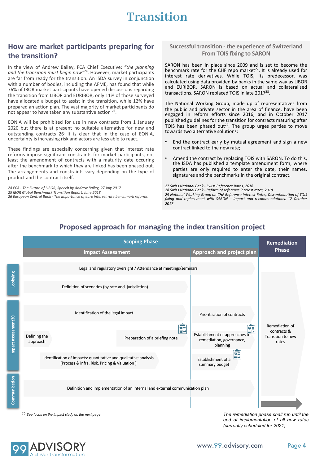## **Transition**

#### **How are market participants preparing for the transition?**

In the view of Andrew Bailey, FCA Chief Executive: *"the planning and the transition must begin now"24*. However, market participants are far from ready for the transition. An ISDA survey in conjunction with a number of bodies, including the AFME, has found that while 76% of IBOR market participants have opened discussions regarding the transition from LIBOR and EURIBOR, only 11% of those surveyed have allocated a budget to assist in the transition, while 12% have prepared an action plan. The vast majority of market participants do not appear to have taken any substantive action *<sup>25</sup>*.

EONIA will be prohibited for use in new contracts from 1 January 2020 but there is at present no suitable alternative for new and outstanding contracts 26*.* It is clear that in the case of EONIA, uncertainty is increasing risk and actors are less able to react.

These findings are especially concerning given that interest rate reforms impose significant constraints for market participants, not least the amendment of contracts with a maturity date occuring after the benchmark to which they are linked has been phased out. The arrangements and constraints vary depending on the type of product and the contract itself.

*24 FCA - The Future of LIBOR, Speech by Andrew Bailey, 27 July 2017 25 IBOR Global Benchmark Transition Report, June 2018 26 European Central Bank - The importance of euro interest rate benchmark reforms*

#### **Successful transition - the experience of Switzerland From TOIS fixing to SARON**

SARON has been in place since 2009 and is set to become the benchmark rate for the CHF repo market<sup>27</sup>. It is already used for interest rate derivatives. While TOIS, its predecessor, was calculated using data provided by banks in the same way as LIBOR and EURIBOR, SARON is based on actual and collateralised transactions. SARON replaced TOIS in late 2017<sup>28</sup>.

The National Working Group, made up of representatives from the public and private sector in the area of finance, have been engaged in reform efforts since 2016, and in October 2017 published guidelines for the transition for contracts maturing after TOIS has been phased out<sup>29</sup>. The group urges parties to move towards two alternative solutions:

- End the contract early by mutual agreement and sign a new contract linked to the new rate;
- Amend the contract by replacing TOIS with SARON. To do this, the ISDA has published a template amendment form, where parties are only required to enter the date, their names, signatures and the benchmarks in the original contract.

*27 Swiss National Bank - Swiss Reference Rates, 2018 28 Swiss National Bank - Reform of reference interest rates, 2018 29 National Working Group on CHF Reference Interest Rates, Discontinuation of TOIS fixing and replacement with SARON – impact and recommendations, 12 October 2017*



### **Proposed approach for managing the index transition project**

*30 See focus on the impact study on the next page*

*The remediation phase shall run until the end of implementation of all new rates (currently scheduled for 2021)*

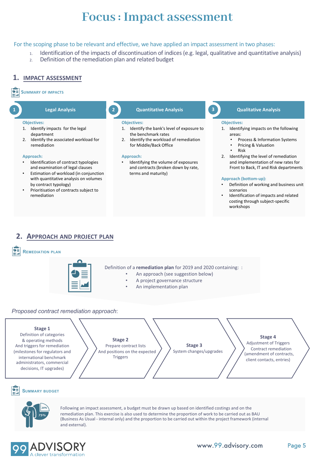## **Focus : Impact assessment**

#### For the scoping phase to be relevant and effective, we have applied an impact assessment in two phases:

- 1. Identification of the impacts of discontinuation of indices (e.g. legal, qualitative and quantitative analysis)
- 2. Definition of the remediation plan and related budget

#### **1. IMPACT ASSESSMENT**

#### **SUMMARY OF IMPACTS**

#### **1 Legal Analysis**

#### **Objectives:**

- 1. Identify impacts for the legal department
- 2. Identify the associated workload for remediation

#### **Approach:**

- Identification of contract typologies and examination of legal clauses
- Estimation of workload (in conjunction with quantitative analysis on volumes by contract typology)
- Prioritisation of contracts subject to remediation

#### **2 Quantitative Analysis**

#### **Objectives:**

- 1. Identify the bank's level of exposure to the benchmark rates
- 2. Identify the workload of remediation for Middle/Back Office

#### **Approach:**

Identifying the volume of exposures and contracts (broken down by rate, terms and maturity)

#### **3 Qualitative Analysis**

#### **Objectives:**

- 1. Identifying impacts on the following areas:
	- Process & Information Systems
	- Pricing & Valuation
	- Risk
- 2. Identifying the level of remediation and implementation of new rates for Front to Back, IT and Risk departments

#### **Approach (bottom-up):**

- Definition of working and business unit scenarios
- Identification of impacts and related costing through subject-specific workshops

#### **2. APPROACH AND PROJECT PLAN**

#### **REMEDIATION PLAN**



Definition of a **remediation plan** for 2019 and 2020 containing: :

- An approach (see suggestion below)
- A project governance structure
- An implementation plan

#### *Proposed contract remediation approach*:



#### B **SUMMARY BUDGET**



Following an impact assessment, a budget must be drawn up based on identified costings and on the remediation plan. This exercise is also used to determine the proportion of work to be carried out as BAU (Business As Usual - internal only) and the proportion to be carried out within the project framework (internal and external).